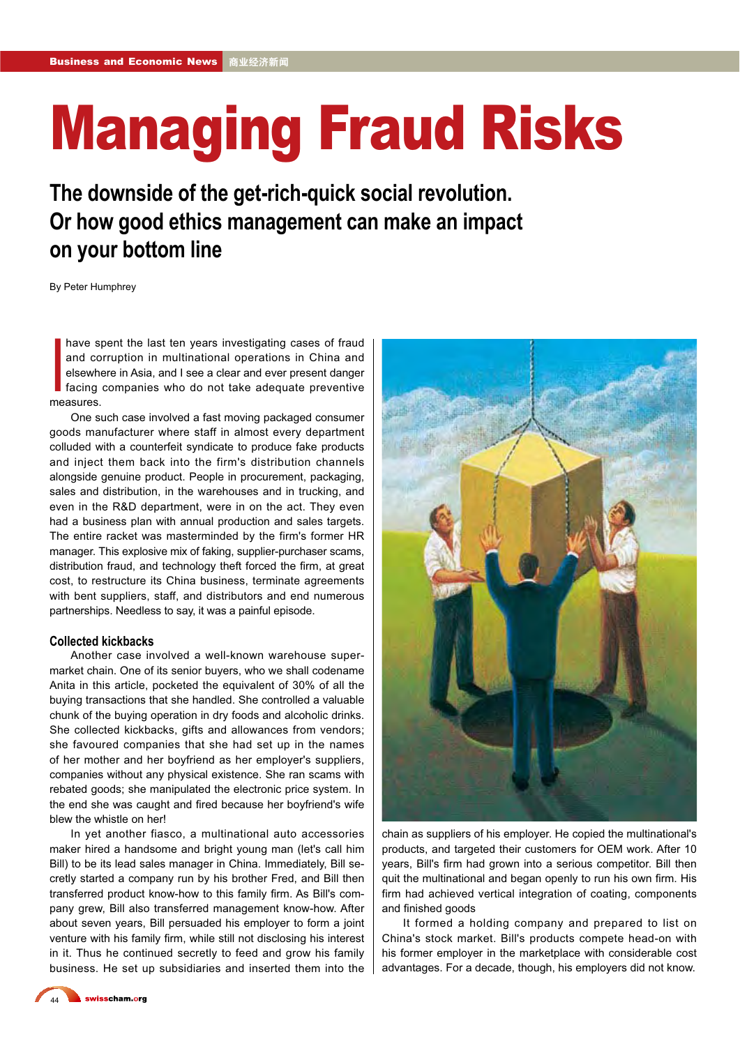## Managing Fraud Risks

**The downside of the get-rich-quick social revolution. Or how good ethics management can make an impact on your bottom line**

By Peter Humphrey

and co<br>
elsewhen<br>
facing<br>
measures. have spent the last ten years investigating cases of fraud and corruption in multinational operations in China and elsewhere in Asia, and I see a clear and ever present danger facing companies who do not take adequate preventive

One such case involved a fast moving packaged consumer goods manufacturer where staff in almost every department colluded with a counterfeit syndicate to produce fake products and inject them back into the firm's distribution channels alongside genuine product. People in procurement, packaging, sales and distribution, in the warehouses and in trucking, and even in the R&D department, were in on the act. They even had a business plan with annual production and sales targets. The entire racket was masterminded by the firm's former HR manager. This explosive mix of faking, supplier-purchaser scams, distribution fraud, and technology theft forced the firm, at great cost, to restructure its China business, terminate agreements with bent suppliers, staff, and distributors and end numerous partnerships. Needless to say, it was a painful episode.

#### **Collected kickbacks**

Another case involved a well-known warehouse supermarket chain. One of its senior buyers, who we shall codename Anita in this article, pocketed the equivalent of 30% of all the buying transactions that she handled. She controlled a valuable chunk of the buying operation in dry foods and alcoholic drinks. She collected kickbacks, gifts and allowances from vendors; she favoured companies that she had set up in the names of her mother and her boyfriend as her employer's suppliers, companies without any physical existence. She ran scams with rebated goods; she manipulated the electronic price system. In the end she was caught and fired because her boyfriend's wife blew the whistle on her!

In yet another fiasco, a multinational auto accessories maker hired a handsome and bright young man (let's call him Bill) to be its lead sales manager in China. Immediately, Bill secretly started a company run by his brother Fred, and Bill then transferred product know-how to this family firm. As Bill's company grew, Bill also transferred management know-how. After about seven years, Bill persuaded his employer to form a joint venture with his family firm, while still not disclosing his interest in it. Thus he continued secretly to feed and grow his family business. He set up subsidiaries and inserted them into the



chain as suppliers of his employer. He copied the multinational's products, and targeted their customers for OEM work. After 10 years, Bill's firm had grown into a serious competitor. Bill then quit the multinational and began openly to run his own firm. His firm had achieved vertical integration of coating, components and finished goods

It formed a holding company and prepared to list on China's stock market. Bill's products compete head-on with his former employer in the marketplace with considerable cost advantages. For a decade, though, his employers did not know.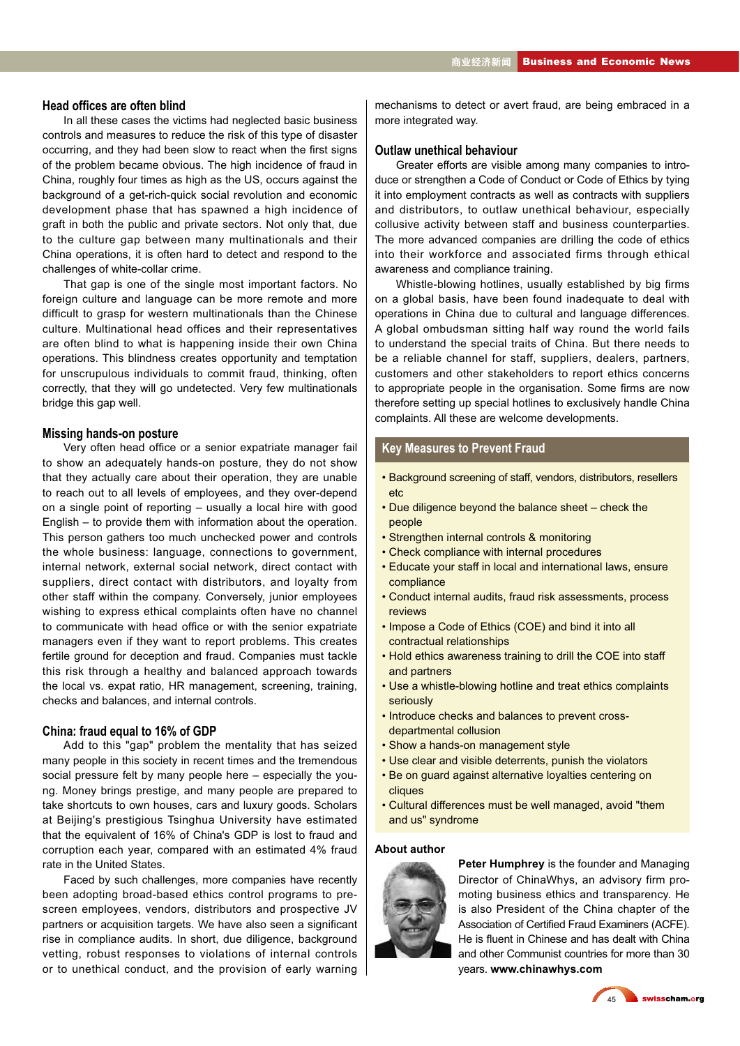#### **Head of¿ces are often blind**

In all these cases the victims had neglected basic business controls and measures to reduce the risk of this type of disaster occurring, and they had been slow to react when the first signs of the problem became obvious. The high incidence of fraud in China, roughly four times as high as the US, occurs against the background of a get-rich-quick social revolution and economic development phase that has spawned a high incidence of graft in both the public and private sectors. Not only that, due to the culture gap between many multinationals and their China operations, it is often hard to detect and respond to the challenges of white-collar crime.

That gap is one of the single most important factors. No foreign culture and language can be more remote and more difficult to grasp for western multinationals than the Chinese culture. Multinational head offices and their representatives are often blind to what is happening inside their own China operations. This blindness creates opportunity and temptation for unscrupulous individuals to commit fraud, thinking, often correctly, that they will go undetected. Very few multinationals bridge this gap well.

#### **Missing hands-on posture**

Very often head office or a senior expatriate manager fail to show an adequately hands-on posture, they do not show that they actually care about their operation, they are unable to reach out to all levels of employees, and they over-depend on a single point of reporting – usually a local hire with good English – to provide them with information about the operation. This person gathers too much unchecked power and controls the whole business: language, connections to government, internal network, external social network, direct contact with suppliers, direct contact with distributors, and loyalty from other staff within the company. Conversely, junior employees wishing to express ethical complaints often have no channel to communicate with head office or with the senior expatriate managers even if they want to report problems. This creates fertile ground for deception and fraud. Companies must tackle this risk through a healthy and balanced approach towards the local vs. expat ratio, HR management, screening, training, checks and balances, and internal controls.

#### **China: fraud equal to 16% of GDP**

Add to this "gap" problem the mentality that has seized many people in this society in recent times and the tremendous social pressure felt by many people here – especially the young. Money brings prestige, and many people are prepared to take shortcuts to own houses, cars and luxury goods. Scholars at Beijing's prestigious Tsinghua University have estimated that the equivalent of 16% of China's GDP is lost to fraud and corruption each year, compared with an estimated 4% fraud rate in the United States.

Faced by such challenges, more companies have recently been adopting broad-based ethics control programs to prescreen employees, vendors, distributors and prospective JV partners or acquisition targets. We have also seen a significant rise in compliance audits. In short, due diligence, background vetting, robust responses to violations of internal controls or to unethical conduct, and the provision of early warning mechanisms to detect or avert fraud, are being embraced in a more integrated way.

#### **Outlaw unethical behaviour**

Greater efforts are visible among many companies to introduce or strengthen a Code of Conduct or Code of Ethics by tying it into employment contracts as well as contracts with suppliers and distributors, to outlaw unethical behaviour, especially collusive activity between staff and business counterparties. The more advanced companies are drilling the code of ethics into their workforce and associated firms through ethical awareness and compliance training.

Whistle-blowing hotlines, usually established by big firms on a global basis, have been found inadequate to deal with operations in China due to cultural and language differences. A global ombudsman sitting half way round the world fails to understand the special traits of China. But there needs to be a reliable channel for staff, suppliers, dealers, partners, customers and other stakeholders to report ethics concerns to appropriate people in the organisation. Some firms are now therefore setting up special hotlines to exclusively handle China complaints. All these are welcome developments.

#### **Key Measures to Prevent Fraud**

- Background screening of staff, vendors, distributors, resellers etc
- Due diligence beyond the balance sheet check the people
- Strengthen internal controls & monitoring
- Check compliance with internal procedures
- Educate your staff in local and international laws, ensure compliance
- Conduct internal audits, fraud risk assessments, process reviews
- Impose a Code of Ethics (COE) and bind it into all contractual relationships
- Hold ethics awareness training to drill the COE into staff and partners
- Use a whistle-blowing hotline and treat ethics complaints seriously
- Introduce checks and balances to prevent crossdepartmental collusion
- Show a hands-on management style
- Use clear and visible deterrents, punish the violators
- Be on guard against alternative loyalties centering on cliques
- Cultural differences must be well managed, avoid "them and us" syndrome

#### **About author**



**Peter Humphrey** is the founder and Managing Director of ChinaWhys, an advisory firm promoting business ethics and transparency. He is also President of the China chapter of the Association of Certified Fraud Examiners (ACFE). He is fluent in Chinese and has dealt with China and other Communist countries for more than 30 years. **www.chinawhys.com**